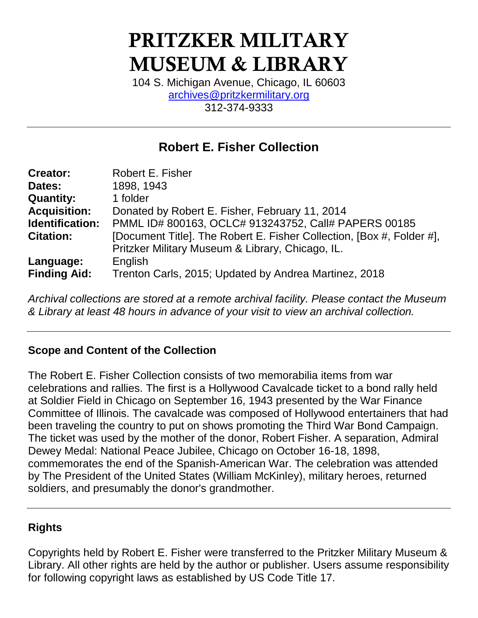# **PRITZKER MILITARY MUSEUM & LIBRARY**

104 S. Michigan Avenue, Chicago, IL 60603 [archives@pritzkermilitary.org](mailto:archives@pritzkermilitary.org) 312-374-9333

## **Robert E. Fisher Collection**

| <b>Creator:</b>     | <b>Robert E. Fisher</b>                                               |
|---------------------|-----------------------------------------------------------------------|
| Dates:              | 1898, 1943                                                            |
| <b>Quantity:</b>    | 1 folder                                                              |
| <b>Acquisition:</b> | Donated by Robert E. Fisher, February 11, 2014                        |
| Identification:     | PMML ID# 800163, OCLC# 913243752, Call# PAPERS 00185                  |
| <b>Citation:</b>    | [Document Title]. The Robert E. Fisher Collection, [Box #, Folder #], |
|                     | Pritzker Military Museum & Library, Chicago, IL.                      |
| Language:           | English                                                               |
| <b>Finding Aid:</b> | Trenton Carls, 2015; Updated by Andrea Martinez, 2018                 |

*Archival collections are stored at a remote archival facility. Please contact the Museum & Library at least 48 hours in advance of your visit to view an archival collection.*

### **Scope and Content of the Collection**

The Robert E. Fisher Collection consists of two memorabilia items from war celebrations and rallies. The first is a Hollywood Cavalcade ticket to a bond rally held at Soldier Field in Chicago on September 16, 1943 presented by the War Finance Committee of Illinois. The cavalcade was composed of Hollywood entertainers that had been traveling the country to put on shows promoting the Third War Bond Campaign. The ticket was used by the mother of the donor, Robert Fisher. A separation, Admiral Dewey Medal: National Peace Jubilee, Chicago on October 16-18, 1898, commemorates the end of the Spanish-American War. The celebration was attended by The President of the United States (William McKinley), military heroes, returned soldiers, and presumably the donor's grandmother.

### **Rights**

Copyrights held by Robert E. Fisher were transferred to the Pritzker Military Museum & Library. All other rights are held by the author or publisher. Users assume responsibility for following copyright laws as established by US Code Title 17.